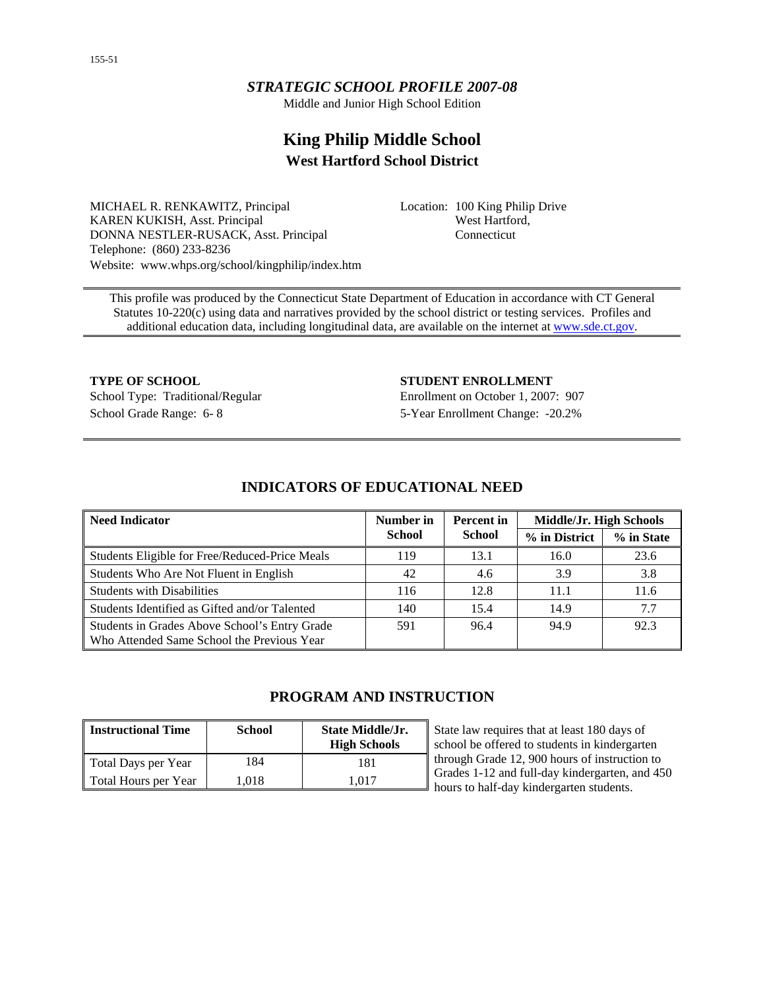### *STRATEGIC SCHOOL PROFILE 2007-08*

Middle and Junior High School Edition

# **King Philip Middle School West Hartford School District**

MICHAEL R. RENKAWITZ, Principal KAREN KUKISH, Asst. Principal DONNA NESTLER-RUSACK, Asst. Principal Telephone: (860) 233-8236 Website: www.whps.org/school/kingphilip/index.htm Location: 100 King Philip Drive West Hartford, Connecticut

This profile was produced by the Connecticut State Department of Education in accordance with CT General Statutes 10-220(c) using data and narratives provided by the school district or testing services. Profiles and additional education data, including longitudinal data, are available on the internet at [www.sde.ct.gov.](http://www.sde.ct.gov/)

**TYPE OF SCHOOL STUDENT ENROLLMENT** School Grade Range: 6- 8 5-Year Enrollment Change: -20.2%

School Type: Traditional/Regular Enrollment on October 1, 2007: 907

## **INDICATORS OF EDUCATIONAL NEED**

| <b>Need Indicator</b>                                                                       | Number in | <b>Percent</b> in | Middle/Jr. High Schools |            |
|---------------------------------------------------------------------------------------------|-----------|-------------------|-------------------------|------------|
|                                                                                             | School    | <b>School</b>     | % in District           | % in State |
| Students Eligible for Free/Reduced-Price Meals                                              | 119       | 13.1              | 16.0                    | 23.6       |
| Students Who Are Not Fluent in English                                                      | 42        | 4.6               | 3.9                     | 3.8        |
| <b>Students with Disabilities</b>                                                           | 116       | 12.8              | 11.1                    | 11.6       |
| Students Identified as Gifted and/or Talented                                               | 140       | 15.4              | 14.9                    | 7.7        |
| Students in Grades Above School's Entry Grade<br>Who Attended Same School the Previous Year | 591       | 96.4              | 94.9                    | 92.3       |

## **PROGRAM AND INSTRUCTION**

| Instructional Time   | <b>School</b> | <b>State Middle/Jr.</b><br><b>High Schools</b> | State law requires to<br>school be offered to |
|----------------------|---------------|------------------------------------------------|-----------------------------------------------|
| Total Days per Year  | 184           | 181                                            | through Grade 12, 9                           |
| Total Hours per Year | 1.018         | 1.017                                          | Grades 1-12 and full<br>hours to half-day ki  |

hat at least 180 days of o students in kindergarten 900 hours of instruction to ll-day kindergarten, and 450 indergarten students.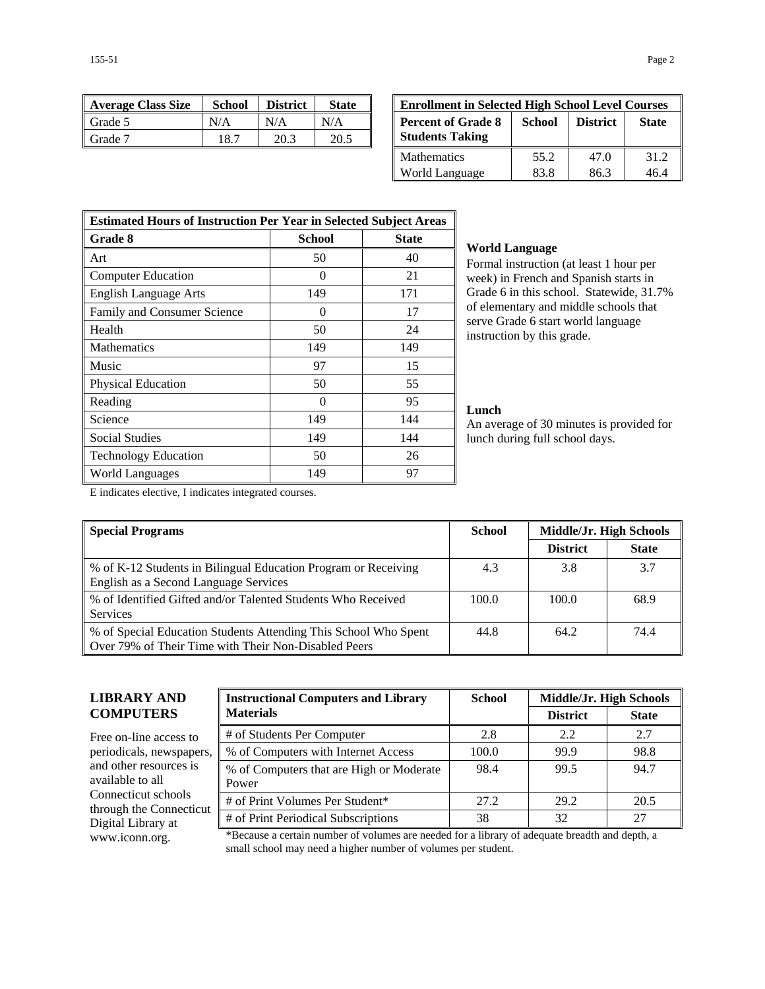| <b>Average Class Size</b> | <b>School</b> | <b>District</b> | <b>State</b> | <b>Enrollment in Selected High School Level Courses</b>       |              |
|---------------------------|---------------|-----------------|--------------|---------------------------------------------------------------|--------------|
| Grade 5                   | N/A           | N/A             | N/A          | <b>District</b><br><b>School</b><br><b>Percent of Grade 8</b> | <b>State</b> |
| Grade 7                   | 18.7          | 20.3            | 20.5         | <b>Students Taking</b>                                        |              |

| <b>Enrollment in Selected High School Level Courses</b> |        |                 |              |  |  |
|---------------------------------------------------------|--------|-----------------|--------------|--|--|
| <b>Percent of Grade 8</b><br><b>Students Taking</b>     | School | <b>District</b> | <b>State</b> |  |  |
| <b>Mathematics</b>                                      | 55.2   | 47.0            | 31.2         |  |  |
| World Language                                          | 83.8   | 86.3            | 46.4         |  |  |

| <b>Estimated Hours of Instruction Per Year in Selected Subject Areas</b> |                   |              |  |
|--------------------------------------------------------------------------|-------------------|--------------|--|
| <b>Grade 8</b>                                                           | School            | <b>State</b> |  |
| Art                                                                      | 50                | 40           |  |
| <b>Computer Education</b>                                                | $\mathbf{\Omega}$ | 21           |  |
| <b>English Language Arts</b>                                             | 149               | 171          |  |
| Family and Consumer Science                                              | $\mathbf{\Omega}$ | 17           |  |
| Health                                                                   | 50                | 24           |  |
| <b>Mathematics</b>                                                       | 149               | 149          |  |
| Music                                                                    | 97                | 15           |  |
| <b>Physical Education</b>                                                | 50                | 55           |  |
| Reading                                                                  | 0                 | 95           |  |
| Science                                                                  | 149               | 144          |  |
| <b>Social Studies</b>                                                    | 149               | 144          |  |
| <b>Technology Education</b>                                              | 50                | 26           |  |
| World Languages                                                          | 149               | 97           |  |

#### **World Language**

Formal instruction (at least 1 hour per week) in French and Spanish starts in Grade 6 in this school. Statewide, 31.7% of elementary and middle schools that serve Grade 6 start world language instruction by this grade.

#### **Lunch**

An average of 30 minutes is provided for lunch during full school days.

E indicates elective, I indicates integrated courses.

| <b>Special Programs</b>                                                                                                 | <b>School</b> | Middle/Jr. High Schools |              |
|-------------------------------------------------------------------------------------------------------------------------|---------------|-------------------------|--------------|
|                                                                                                                         |               | <b>District</b>         | <b>State</b> |
| % of K-12 Students in Bilingual Education Program or Receiving<br>English as a Second Language Services                 | 4.3           | 3.8                     | 3.7          |
| % of Identified Gifted and/or Talented Students Who Received<br><b>Services</b>                                         | 100.0         | 100.0                   | 68.9         |
| % of Special Education Students Attending This School Who Spent<br>Over 79% of Their Time with Their Non-Disabled Peers | 44.8          | 64.2                    | 74.4         |

### **LIBRARY AND COMPUTERS**

Free on-line access to periodicals, newspapers, and other resources is available to all Connecticut schools through the Connecticut Digital Library at

| <b>Instructional Computers and Library</b>        | <b>School</b> | Middle/Jr. High Schools |              |
|---------------------------------------------------|---------------|-------------------------|--------------|
| <b>Materials</b>                                  |               | <b>District</b>         | <b>State</b> |
| # of Students Per Computer                        | 2.8           | 2.2                     | 2.7          |
| % of Computers with Internet Access               | 100.0         | 99.9                    | 98.8         |
| % of Computers that are High or Moderate<br>Power | 98.4          | 99.5                    | 94.7         |
| # of Print Volumes Per Student*                   | 27.2          | 29.2                    | 20.5         |
| # of Print Periodical Subscriptions               | 38            | 32                      | 27           |

www.iconn.org. \*Because a certain number of volumes are needed for a library of adequate breadth and depth, a small school may need a higher number of volumes per student.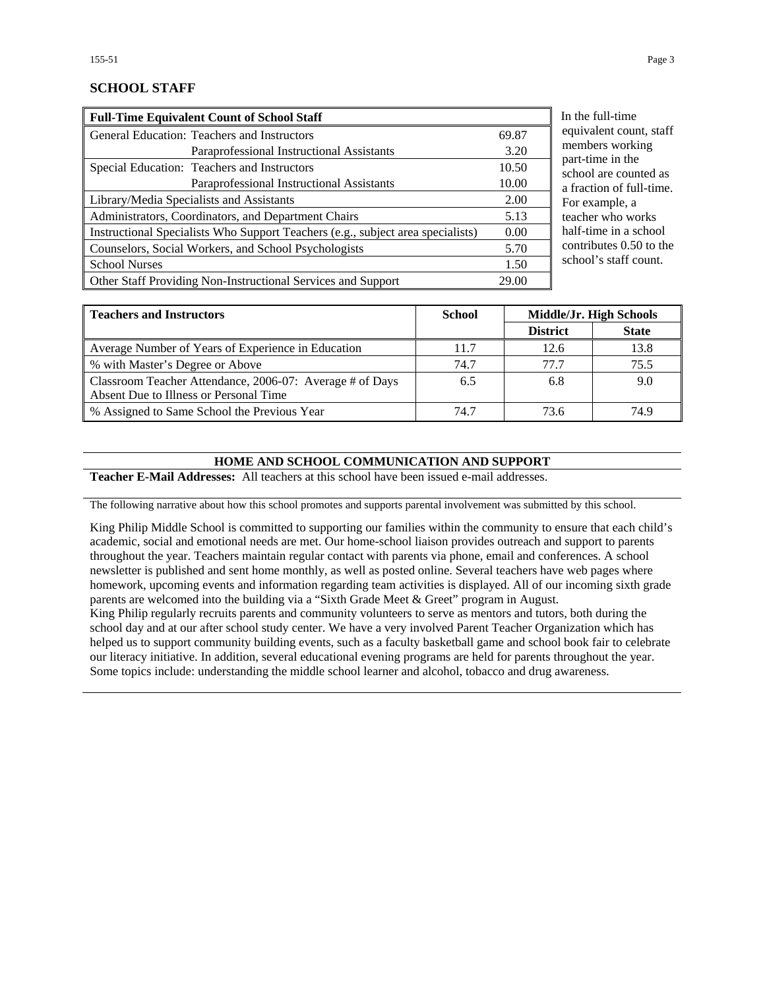## **SCHOOL STAFF**

| <b>Full-Time Equivalent Count of School Staff</b>                               |       |
|---------------------------------------------------------------------------------|-------|
| General Education: Teachers and Instructors                                     | 69.87 |
| Paraprofessional Instructional Assistants                                       | 3.20  |
| Special Education: Teachers and Instructors                                     | 10.50 |
| Paraprofessional Instructional Assistants                                       | 10.00 |
| Library/Media Specialists and Assistants                                        | 2.00  |
| Administrators, Coordinators, and Department Chairs                             | 5.13  |
| Instructional Specialists Who Support Teachers (e.g., subject area specialists) | 0.00  |
| Counselors, Social Workers, and School Psychologists                            | 5.70  |
| <b>School Nurses</b>                                                            | 1.50  |
| Other Staff Providing Non-Instructional Services and Support                    | 29.00 |

he full-time ivalent count, staff mbers working t-time in the ool are counted as action of full-time. example, a cher who works f-time in a school tributes  $0.50$  to the ool's staff count.

| <b>Teachers and Instructors</b>                          | <b>School</b> | Middle/Jr. High Schools |              |
|----------------------------------------------------------|---------------|-------------------------|--------------|
|                                                          |               | <b>District</b>         | <b>State</b> |
| Average Number of Years of Experience in Education       | 11.7          | 12.6                    | 13.8         |
| % with Master's Degree or Above                          | 74.7          | 77.7                    | 75.5         |
| Classroom Teacher Attendance, 2006-07: Average # of Days | 6.5           | 6.8                     | 9.0          |
| Absent Due to Illness or Personal Time                   |               |                         |              |
| % Assigned to Same School the Previous Year              | 74.7          | 73.6                    | 74.9         |

#### **HOME AND SCHOOL COMMUNICATION AND SUPPORT**

**Teacher E-Mail Addresses:** All teachers at this school have been issued e-mail addresses.

The following narrative about how this school promotes and supports parental involvement was submitted by this school.

King Philip Middle School is committed to supporting our families within the community to ensure that each child's academic, social and emotional needs are met. Our home-school liaison provides outreach and support to parents throughout the year. Teachers maintain regular contact with parents via phone, email and conferences. A school newsletter is published and sent home monthly, as well as posted online. Several teachers have web pages where homework, upcoming events and information regarding team activities is displayed. All of our incoming sixth grade parents are welcomed into the building via a "Sixth Grade Meet & Greet" program in August.

King Philip regularly recruits parents and community volunteers to serve as mentors and tutors, both during the school day and at our after school study center. We have a very involved Parent Teacher Organization which has helped us to support community building events, such as a faculty basketball game and school book fair to celebrate our literacy initiative. In addition, several educational evening programs are held for parents throughout the year. Some topics include: understanding the middle school learner and alcohol, tobacco and drug awareness.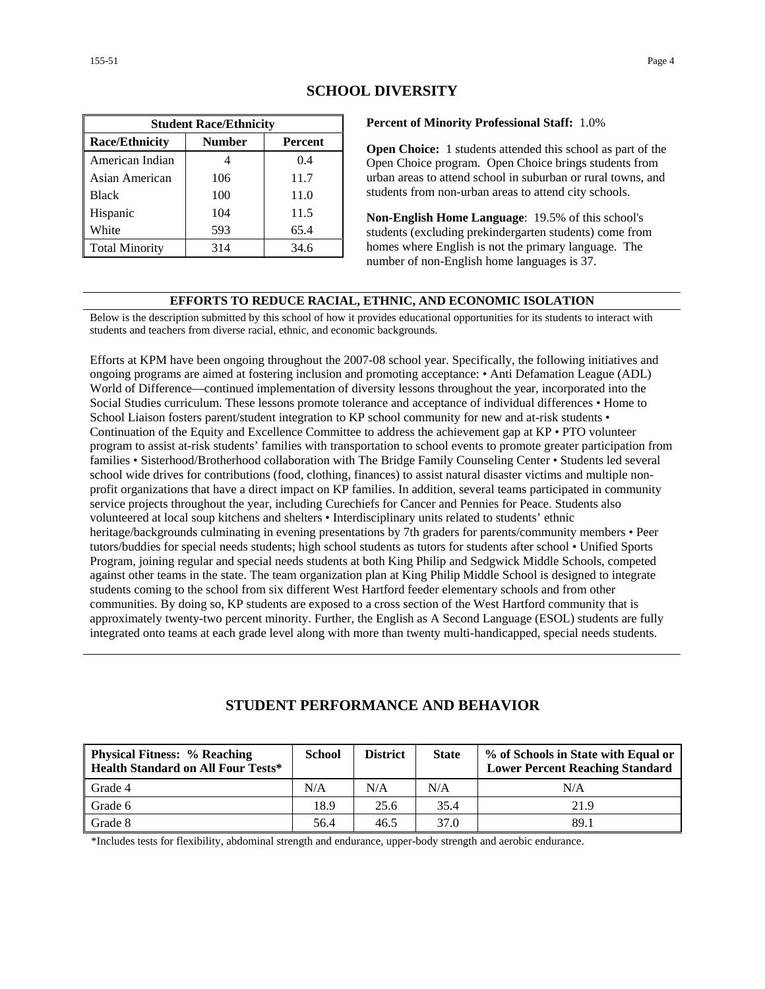| <b>Student Race/Ethnicity</b> |        |         |  |  |
|-------------------------------|--------|---------|--|--|
| <b>Race/Ethnicity</b>         | Number | Percent |  |  |
| American Indian               |        | 0.4     |  |  |
| Asian American                | 106    | 11.7    |  |  |
| <b>Black</b>                  | 100    | 11.0    |  |  |
| Hispanic                      | 104    | 11.5    |  |  |
| White                         | 593    | 65.4    |  |  |
| <b>Total Minority</b>         | 314    | 34.6    |  |  |

### **SCHOOL DIVERSITY**

**Percent of Minority Professional Staff:** 1.0%

**Open Choice:** 1 students attended this school as part of the Open Choice program. Open Choice brings students from urban areas to attend school in suburban or rural towns, and students from non-urban areas to attend city schools.

**Non-English Home Language**: 19.5% of this school's students (excluding prekindergarten students) come from homes where English is not the primary language. The number of non-English home languages is 37.

#### **EFFORTS TO REDUCE RACIAL, ETHNIC, AND ECONOMIC ISOLATION**

Below is the description submitted by this school of how it provides educational opportunities for its students to interact with students and teachers from diverse racial, ethnic, and economic backgrounds.

Efforts at KPM have been ongoing throughout the 2007-08 school year. Specifically, the following initiatives and ongoing programs are aimed at fostering inclusion and promoting acceptance: • Anti Defamation League (ADL) World of Difference—continued implementation of diversity lessons throughout the year, incorporated into the Social Studies curriculum. These lessons promote tolerance and acceptance of individual differences • Home to School Liaison fosters parent/student integration to KP school community for new and at-risk students • Continuation of the Equity and Excellence Committee to address the achievement gap at KP • PTO volunteer program to assist at-risk students' families with transportation to school events to promote greater participation from families • Sisterhood/Brotherhood collaboration with The Bridge Family Counseling Center • Students led several school wide drives for contributions (food, clothing, finances) to assist natural disaster victims and multiple nonprofit organizations that have a direct impact on KP families. In addition, several teams participated in community service projects throughout the year, including Curechiefs for Cancer and Pennies for Peace. Students also volunteered at local soup kitchens and shelters • Interdisciplinary units related to students' ethnic heritage/backgrounds culminating in evening presentations by 7th graders for parents/community members • Peer tutors/buddies for special needs students; high school students as tutors for students after school • Unified Sports Program, joining regular and special needs students at both King Philip and Sedgwick Middle Schools, competed against other teams in the state. The team organization plan at King Philip Middle School is designed to integrate students coming to the school from six different West Hartford feeder elementary schools and from other communities. By doing so, KP students are exposed to a cross section of the West Hartford community that is approximately twenty-two percent minority. Further, the English as A Second Language (ESOL) students are fully integrated onto teams at each grade level along with more than twenty multi-handicapped, special needs students.

| STUDENT PERFORMANCE AND BEHAVIOR |
|----------------------------------|
|----------------------------------|

| <b>Physical Fitness: % Reaching</b><br><b>Health Standard on All Four Tests*</b> | <b>School</b> | <b>District</b> | <b>State</b> | % of Schools in State with Equal or<br><b>Lower Percent Reaching Standard</b> |
|----------------------------------------------------------------------------------|---------------|-----------------|--------------|-------------------------------------------------------------------------------|
| Grade 4                                                                          | N/A           | N/A             | N/A          | N/A                                                                           |
| Grade 6                                                                          | 18.9          | 25.6            | 35.4         | 21.9                                                                          |
| Grade 8                                                                          | 56.4          | 46.5            | 37.0         | 89.1                                                                          |

\*Includes tests for flexibility, abdominal strength and endurance, upper-body strength and aerobic endurance.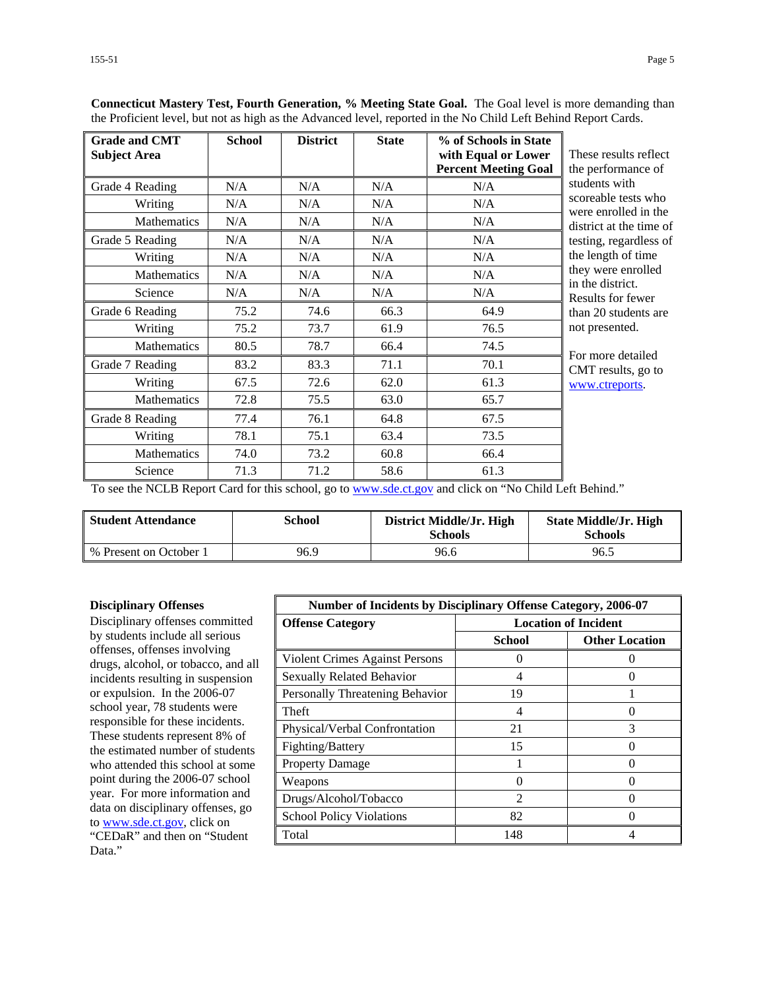| <b>Grade and CMT</b><br><b>Subject Area</b> | <b>School</b> | <b>District</b> | <b>State</b> | % of Schools in State<br>with Equal or Lower<br><b>Percent Meeting Goal</b> | These results reflect<br>the performance of |
|---------------------------------------------|---------------|-----------------|--------------|-----------------------------------------------------------------------------|---------------------------------------------|
| Grade 4 Reading                             | N/A           | N/A             | N/A          | N/A                                                                         | students with                               |
| Writing                                     | N/A           | N/A             | N/A          | N/A                                                                         | scoreable tests who<br>were enrolled in the |
| <b>Mathematics</b>                          | N/A           | N/A             | N/A          | N/A                                                                         | district at the time of                     |
| Grade 5 Reading                             | N/A           | N/A             | N/A          | N/A                                                                         | testing, regardless of                      |
| Writing                                     | N/A           | N/A             | N/A          | N/A                                                                         | the length of time                          |
| <b>Mathematics</b>                          | N/A           | N/A             | N/A          | N/A                                                                         | they were enrolled<br>in the district.      |
| Science                                     | N/A           | N/A             | N/A          | N/A                                                                         | Results for fewer                           |
| Grade 6 Reading                             | 75.2          | 74.6            | 66.3         | 64.9                                                                        | than 20 students are                        |
| Writing                                     | 75.2          | 73.7            | 61.9         | 76.5                                                                        | not presented.                              |
| Mathematics                                 | 80.5          | 78.7            | 66.4         | 74.5                                                                        | For more detailed                           |
| Grade 7 Reading                             | 83.2          | 83.3            | 71.1         | 70.1                                                                        | CMT results, go to                          |
| Writing                                     | 67.5          | 72.6            | 62.0         | 61.3                                                                        | www.ctreports.                              |
| <b>Mathematics</b>                          | 72.8          | 75.5            | 63.0         | 65.7                                                                        |                                             |
| Grade 8 Reading                             | 77.4          | 76.1            | 64.8         | 67.5                                                                        |                                             |
| Writing                                     | 78.1          | 75.1            | 63.4         | 73.5                                                                        |                                             |
| <b>Mathematics</b>                          | 74.0          | 73.2            | 60.8         | 66.4                                                                        |                                             |
| Science                                     | 71.3          | 71.2            | 58.6         | 61.3                                                                        |                                             |

**Connecticut Mastery Test, Fourth Generation, % Meeting State Goal.** The Goal level is more demanding than the Proficient level, but not as high as the Advanced level, reported in the No Child Left Behind Report Cards.

To see the NCLB Report Card for this school, go to [www.sde.ct.gov](http://www.sde.ct.gov/) and click on "No Child Left Behind."

| <b>Student Attendance</b> | School | District Middle/Jr. High<br><b>Schools</b> | <b>State Middle/Jr. High</b><br><b>Schools</b> |
|---------------------------|--------|--------------------------------------------|------------------------------------------------|
| % Present on October 1    | 96.9   | 96.6                                       | 96.5                                           |

#### **Disciplinary Offenses**

Disciplinary offenses committed by students include all serious offenses, offenses involving drugs, alcohol, or tobacco, and all incidents resulting in suspension or expulsion. In the 2006-07 school year, 78 students were responsible for these incidents. These students represent 8% of the estimated number of students who attended this school at some point during the 2006-07 school year. For more information and data on disciplinary offenses, go to [www.sde.ct.gov](http://www.sde.ct.gov/), click on "CEDaR" and then on "Student Data."

| <b>Number of Incidents by Disciplinary Offense Category, 2006-07</b> |                             |                       |  |  |
|----------------------------------------------------------------------|-----------------------------|-----------------------|--|--|
| <b>Offense Category</b>                                              | <b>Location of Incident</b> |                       |  |  |
|                                                                      | <b>School</b>               | <b>Other Location</b> |  |  |
| Violent Crimes Against Persons                                       |                             |                       |  |  |
| Sexually Related Behavior                                            | 4                           |                       |  |  |
| Personally Threatening Behavior                                      | 19                          |                       |  |  |
| Theft                                                                | 4                           |                       |  |  |
| Physical/Verbal Confrontation                                        | 21                          | 3                     |  |  |
| Fighting/Battery                                                     | 15                          |                       |  |  |
| <b>Property Damage</b>                                               |                             |                       |  |  |
| Weapons                                                              |                             |                       |  |  |
| Drugs/Alcohol/Tobacco                                                | $\mathcal{D}_{\mathcal{L}}$ |                       |  |  |
| <b>School Policy Violations</b>                                      | 82                          |                       |  |  |
| Total                                                                | 148                         |                       |  |  |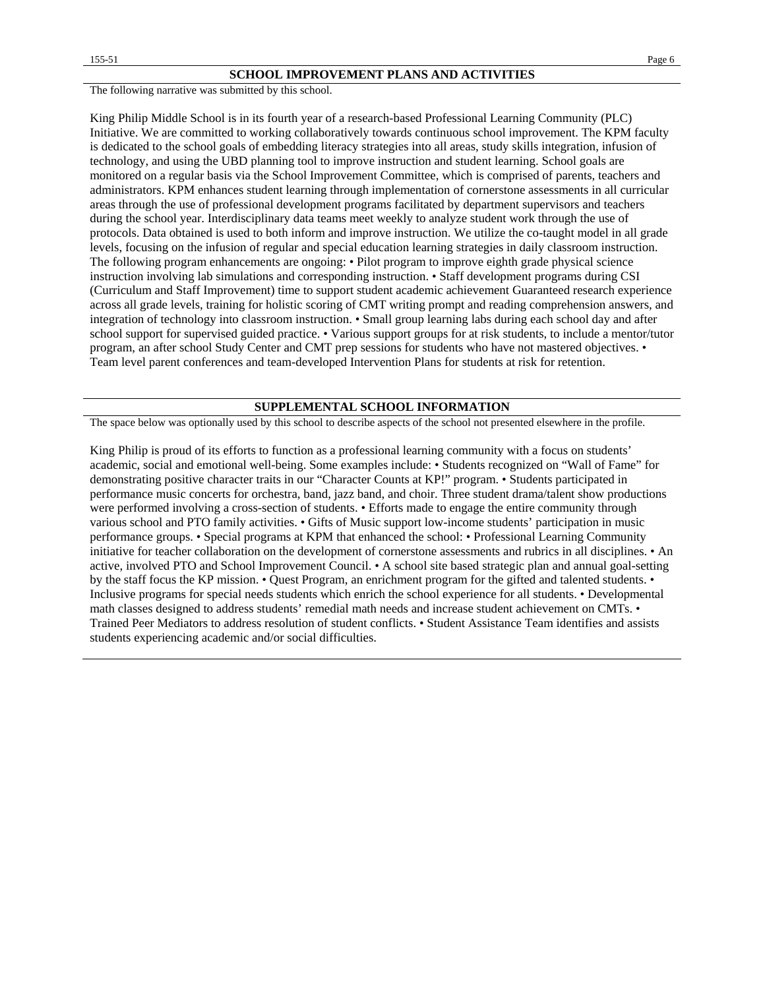The following narrative was submitted by this school.

King Philip Middle School is in its fourth year of a research-based Professional Learning Community (PLC) Initiative. We are committed to working collaboratively towards continuous school improvement. The KPM faculty is dedicated to the school goals of embedding literacy strategies into all areas, study skills integration, infusion of technology, and using the UBD planning tool to improve instruction and student learning. School goals are monitored on a regular basis via the School Improvement Committee, which is comprised of parents, teachers and administrators. KPM enhances student learning through implementation of cornerstone assessments in all curricular areas through the use of professional development programs facilitated by department supervisors and teachers

during the school year. Interdisciplinary data teams meet weekly to analyze student work through the use of protocols. Data obtained is used to both inform and improve instruction. We utilize the co-taught model in all grade levels, focusing on the infusion of regular and special education learning strategies in daily classroom instruction. The following program enhancements are ongoing: • Pilot program to improve eighth grade physical science instruction involving lab simulations and corresponding instruction. • Staff development programs during CSI (Curriculum and Staff Improvement) time to support student academic achievement Guaranteed research experience across all grade levels, training for holistic scoring of CMT writing prompt and reading comprehension answers, and integration of technology into classroom instruction. • Small group learning labs during each school day and after school support for supervised guided practice. • Various support groups for at risk students, to include a mentor/tutor program, an after school Study Center and CMT prep sessions for students who have not mastered objectives. • Team level parent conferences and team-developed Intervention Plans for students at risk for retention.

#### **SUPPLEMENTAL SCHOOL INFORMATION**

The space below was optionally used by this school to describe aspects of the school not presented elsewhere in the profile.

King Philip is proud of its efforts to function as a professional learning community with a focus on students' academic, social and emotional well-being. Some examples include: • Students recognized on "Wall of Fame" for demonstrating positive character traits in our "Character Counts at KP!" program. • Students participated in performance music concerts for orchestra, band, jazz band, and choir. Three student drama/talent show productions were performed involving a cross-section of students. • Efforts made to engage the entire community through various school and PTO family activities. • Gifts of Music support low-income students' participation in music performance groups. • Special programs at KPM that enhanced the school: • Professional Learning Community initiative for teacher collaboration on the development of cornerstone assessments and rubrics in all disciplines. • An active, involved PTO and School Improvement Council. • A school site based strategic plan and annual goal-setting by the staff focus the KP mission. • Quest Program, an enrichment program for the gifted and talented students. • Inclusive programs for special needs students which enrich the school experience for all students. • Developmental math classes designed to address students' remedial math needs and increase student achievement on CMTs. • Trained Peer Mediators to address resolution of student conflicts. • Student Assistance Team identifies and assists students experiencing academic and/or social difficulties.